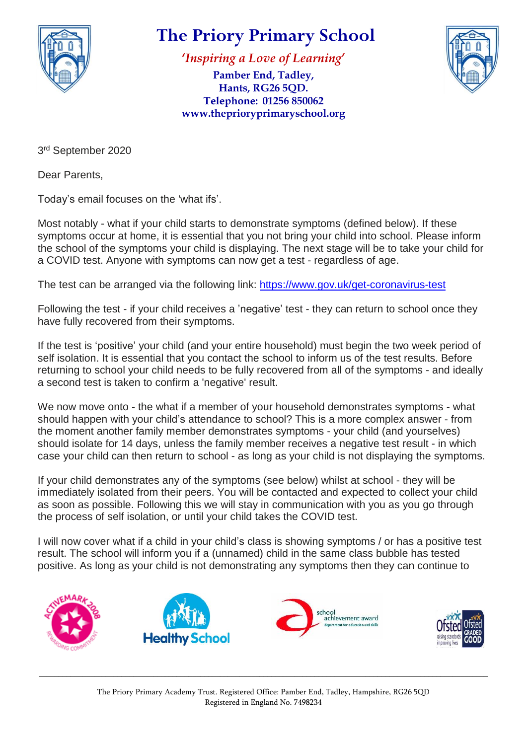

## **The Priory Primary School**

**'***Inspiring a Love of Learning***'**

**Pamber End, Tadley, Hants, RG26 5QD. Telephone: 01256 850062 www.theprioryprimaryschool.org**



3<sup>rd</sup> September 2020

Dear Parents,

Today's email focuses on the 'what ifs'.

Most notably - what if your child starts to demonstrate symptoms (defined below). If these symptoms occur at home, it is essential that you not bring your child into school. Please inform the school of the symptoms your child is displaying. The next stage will be to take your child for a COVID test. Anyone with symptoms can now get a test - regardless of age.

The test can be arranged via the following link: <https://www.gov.uk/get-coronavirus-test>

Following the test - if your child receives a 'negative' test - they can return to school once they have fully recovered from their symptoms.

If the test is 'positive' your child (and your entire household) must begin the two week period of self isolation. It is essential that you contact the school to inform us of the test results. Before returning to school your child needs to be fully recovered from all of the symptoms - and ideally a second test is taken to confirm a 'negative' result.

We now move onto - the what if a member of your household demonstrates symptoms - what should happen with your child's attendance to school? This is a more complex answer - from the moment another family member demonstrates symptoms - your child (and yourselves) should isolate for 14 days, unless the family member receives a negative test result - in which case your child can then return to school - as long as your child is not displaying the symptoms.

If your child demonstrates any of the symptoms (see below) whilst at school - they will be immediately isolated from their peers. You will be contacted and expected to collect your child as soon as possible. Following this we will stay in communication with you as you go through the process of self isolation, or until your child takes the COVID test.

I will now cover what if a child in your child's class is showing symptoms / or has a positive test result. The school will inform you if a (unnamed) child in the same class bubble has tested positive. As long as your child is not demonstrating any symptoms then they can continue to



\_\_\_\_\_\_\_\_\_\_\_\_\_\_\_\_\_\_\_\_\_\_\_\_\_\_\_\_\_\_\_\_\_\_\_\_\_\_\_\_\_\_\_\_\_\_\_\_\_\_\_\_\_\_\_\_\_\_\_\_\_\_\_\_\_\_\_\_\_\_\_\_\_\_\_\_\_\_\_\_\_\_\_\_\_\_\_\_\_\_\_\_\_\_\_\_\_\_\_\_\_\_\_\_\_\_\_\_\_\_\_\_\_\_